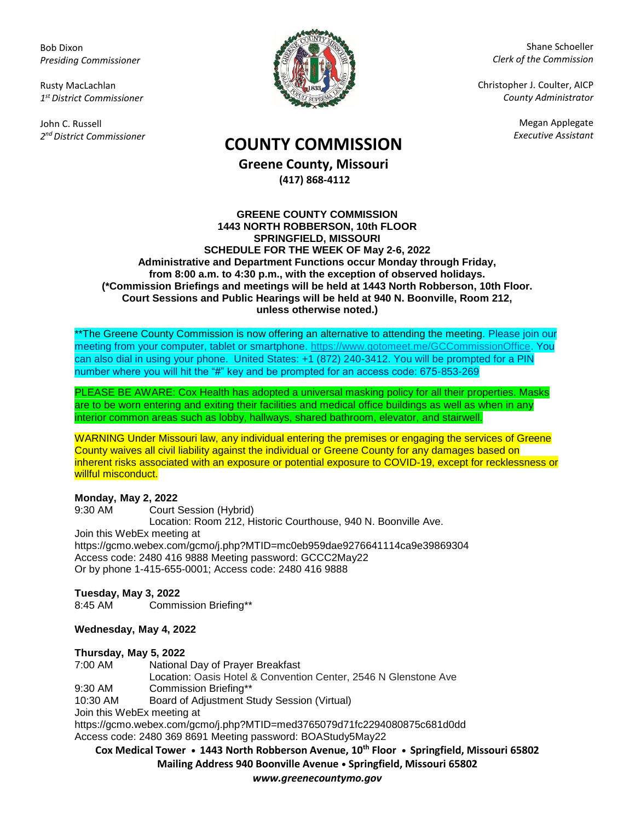Bob Dixon *Presiding Commissioner*

Rusty MacLachlan *1 st District Commissioner*

John C. Russell *2 nd District Commissioner*



Shane Schoeller *Clerk of the Commission*

Christopher J. Coulter, AICP *County Administrator*

Megan Applegate

# *Executive Assistant* **COUNTY COMMISSION**

**Greene County, Missouri (417) 868-4112**

#### **GREENE COUNTY COMMISSION 1443 NORTH ROBBERSON, 10th FLOOR SPRINGFIELD, MISSOURI SCHEDULE FOR THE WEEK OF May 2-6, 2022 Administrative and Department Functions occur Monday through Friday, from 8:00 a.m. to 4:30 p.m., with the exception of observed holidays. (\*Commission Briefings and meetings will be held at 1443 North Robberson, 10th Floor. Court Sessions and Public Hearings will be held at 940 N. Boonville, Room 212, unless otherwise noted.)**

\*\*The Greene County Commission is now offering an alternative to attending the meeting. Please join our meeting from your computer, tablet or smartphone. [https://www.gotomeet.me/GCCommissionOffice.](https://www.gotomeet.me/GCCommissionOffice) You can also dial in using your phone. United States: +1 (872) 240-3412. You will be prompted for a PIN number where you will hit the "#" key and be prompted for an access code: 675-853-269

PLEASE BE AWARE: Cox Health has adopted a universal masking policy for all their properties. Masks are to be worn entering and exiting their facilities and medical office buildings as well as when in any interior common areas such as lobby, hallways, shared bathroom, elevator, and stairwell.

WARNING Under Missouri law, any individual entering the premises or engaging the services of Greene County waives all civil liability against the individual or Greene County for any damages based on inherent risks associated with an exposure or potential exposure to COVID-19, except for recklessness or willful misconduct.

## **Monday, May 2, 2022**

9:30 AM Court Session (Hybrid) Location: Room 212, Historic Courthouse, 940 N. Boonville Ave. Join this WebEx meeting at https://gcmo.webex.com/gcmo/j.php?MTID=mc0eb959dae9276641114ca9e39869304 Access code: 2480 416 9888 Meeting password: GCCC2May22 Or by phone 1-415-655-0001; Access code: 2480 416 9888

## **Tuesday, May 3, 2022**

8:45 AM Commission Briefing\*\*

## **Wednesday, May 4, 2022**

## **Thursday, May 5, 2022**

7:00 AM National Day of Prayer Breakfast Location: Oasis Hotel & Convention Center, 2546 N Glenstone Ave 9:30 AM Commission Briefing\*\* 10:30 AM Board of Adjustment Study Session (Virtual) Join this WebEx meeting at <https://gcmo.webex.com/gcmo/j.php?MTID=med3765079d71fc2294080875c681d0dd>

Access code: 2480 369 8691 Meeting password: BOAStudy5May22

**Cox Medical Tower • 1443 North Robberson Avenue, 10th Floor • Springfield, Missouri 65802 Mailing Address 940 Boonville Avenue • Springfield, Missouri 65802**

*www.greenecountymo.gov*